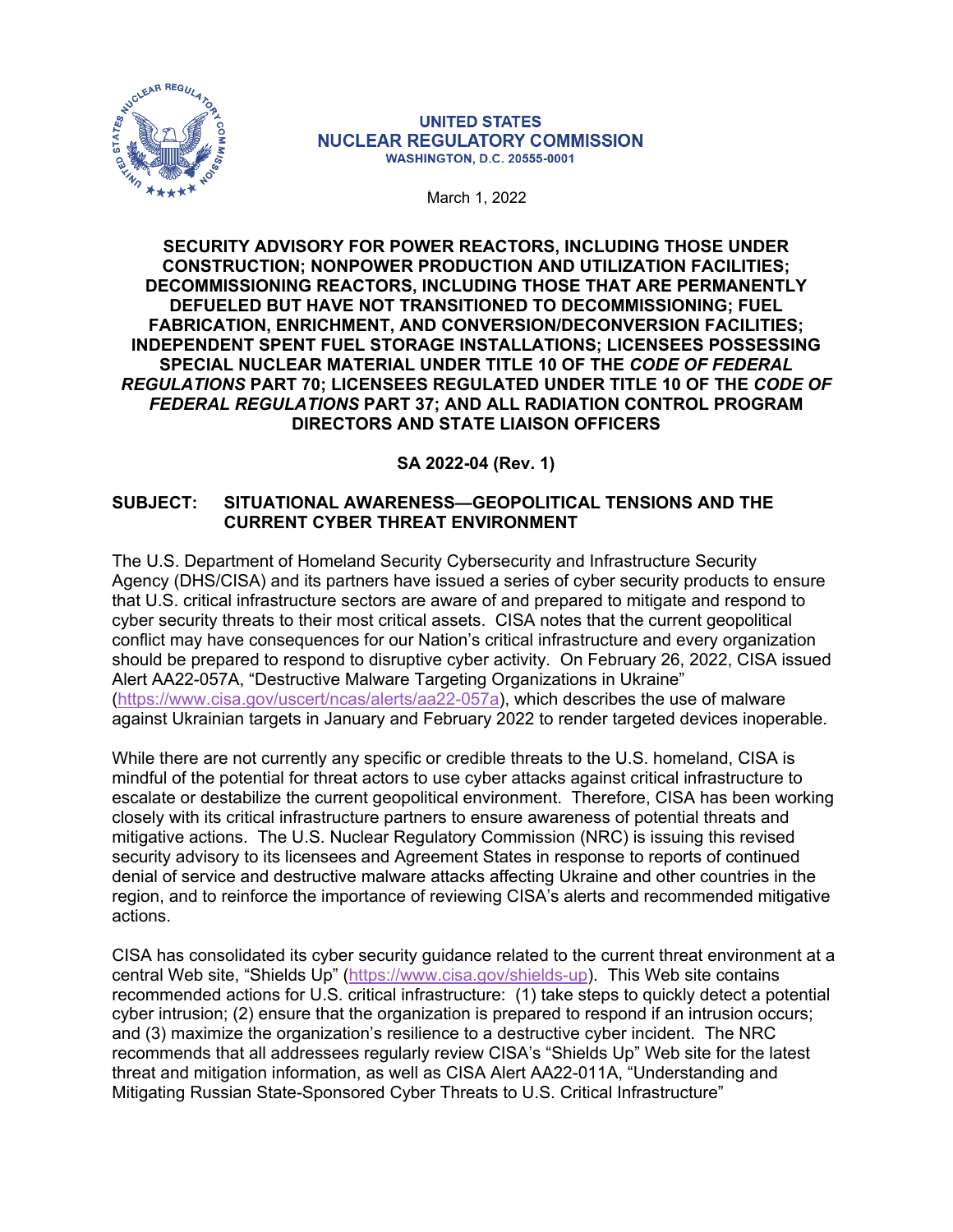

#### **UNITED STATES NUCLEAR REGULATORY COMMISSION WASHINGTON, D.C. 20555-0001**

. March 1, 2022

**SECURITY ADVISORY FOR POWER REACTORS, INCLUDING THOSE UNDER CONSTRUCTION; NONPOWER PRODUCTION AND UTILIZATION FACILITIES; DECOMMISSIONING REACTORS, INCLUDING THOSE THAT ARE PERMANENTLY DEFUELED BUT HAVE NOT TRANSITIONED TO DECOMMISSIONING; FUEL FABRICATION, ENRICHMENT, AND CONVERSION/DECONVERSION FACILITIES; INDEPENDENT SPENT FUEL STORAGE INSTALLATIONS; LICENSEES POSSESSING SPECIAL NUCLEAR MATERIAL UNDER TITLE 10 OF THE** *CODE OF FEDERAL REGULATIONS* **PART 70; LICENSEES REGULATED UNDER TITLE 10 OF THE** *CODE OF FEDERAL REGULATIONS* **PART 37; AND ALL RADIATION CONTROL PROGRAM DIRECTORS AND STATE LIAISON OFFICERS**

## **SA 2022-04 (Rev. 1)**

### **SUBJECT: SITUATIONAL AWARENESS—GEOPOLITICAL TENSIONS AND THE CURRENT CYBER THREAT ENVIRONMENT**

The U.S. Department of Homeland Security Cybersecurity and Infrastructure Security Agency (DHS/CISA) and its partners have issued a series of cyber security products to ensure that U.S. critical infrastructure sectors are aware of and prepared to mitigate and respond to cyber security threats to their most critical assets. CISA notes that the current geopolitical conflict may have consequences for our Nation's critical infrastructure and every organization should be prepared to respond to disruptive cyber activity. On February 26, 2022, CISA issued Alert AA22-057A, "Destructive Malware Targeting Organizations in Ukraine" ([https://www.cisa.gov/uscert/ncas/alerts/aa22-057a\)](https://www.cisa.gov/uscert/ncas/alerts/aa22-057a), which describes the use of malware against Ukrainian targets in January and February 2022 to render targeted devices inoperable.

While there are not currently any specific or credible threats to the U.S. homeland, CISA is mindful of the potential for threat actors to use cyber attacks against critical infrastructure to escalate or destabilize the current geopolitical environment. Therefore, CISA has been working closely with its critical infrastructure partners to ensure awareness of potential threats and mitigative actions. The U.S. Nuclear Regulatory Commission (NRC) is issuing this revised security advisory to its licensees and Agreement States in response to reports of continued denial of service and destructive malware attacks affecting Ukraine and other countries in the region, and to reinforce the importance of reviewing CISA's alerts and recommended mitigative actions.

CISA has consolidated its cyber security guidance related to the current threat environment at a central Web site, "Shields Up" [\(https://www.cisa.gov/shields-up\)](https://www.cisa.gov/shields-up). This Web site contains recommended actions for U.S. critical infrastructure: (1) take steps to quickly detect a potential cyber intrusion; (2) ensure that the organization is prepared to respond if an intrusion occurs; and (3) maximize the organization's resilience to a destructive cyber incident. The NRC recommends that all addressees regularly review CISA's "Shields Up" Web site for the latest threat and mitigation information, as well as CISA Alert AA22-011A, "Understanding and Mitigating Russian State-Sponsored Cyber Threats to U.S. Critical Infrastructure"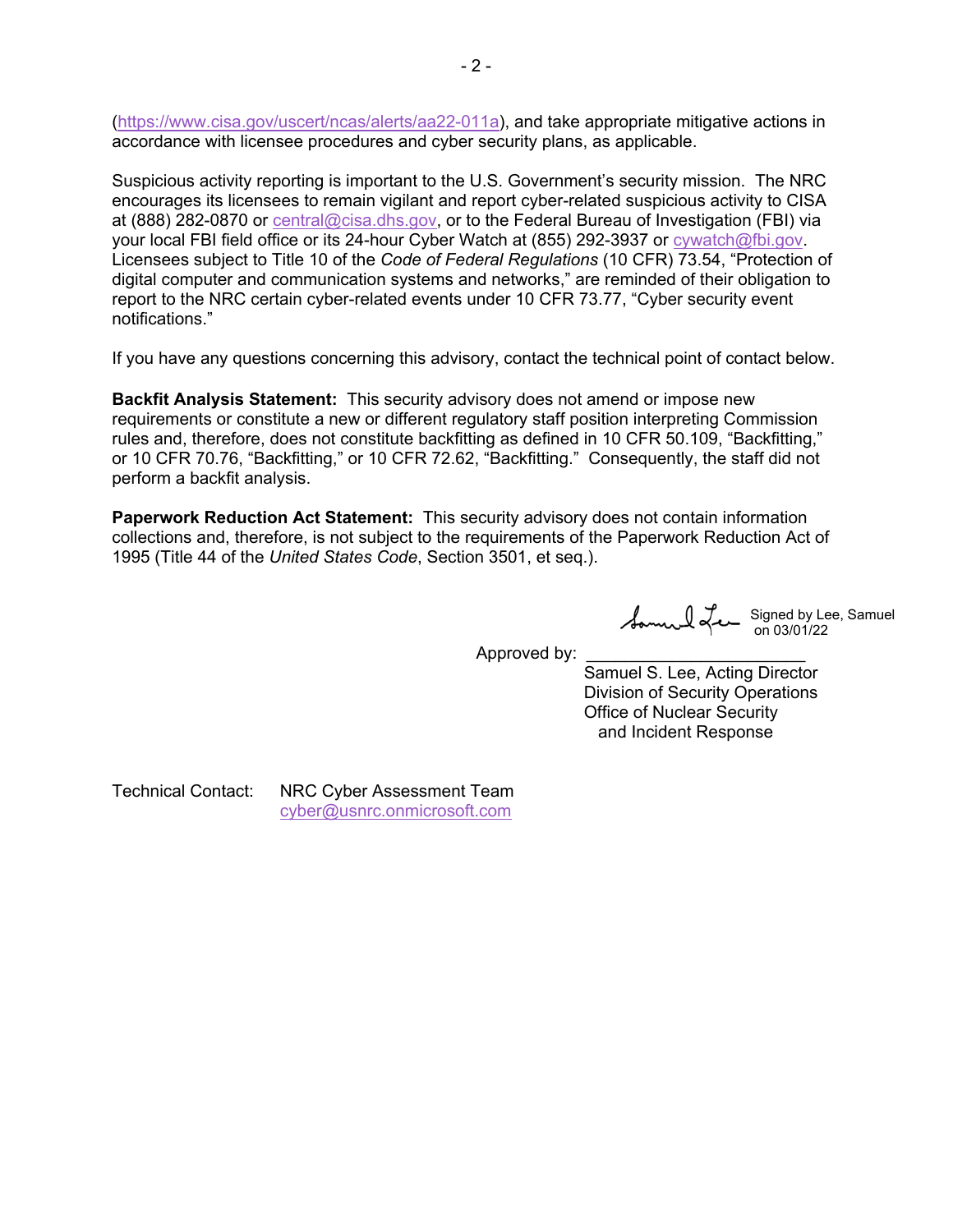([https://www.cisa.gov/uscert/ncas/alerts/aa22-011a\)](https://www.cisa.gov/uscert/ncas/alerts/aa22-011a), and take appropriate mitigative actions in accordance with licensee procedures and cyber security plans, as applicable.

Suspicious activity reporting is important to the U.S. Government's security mission. The NRC encourages its licensees to remain vigilant and report cyber-related suspicious activity to CISA at (888) 282-0870 or [central@cisa.dhs.gov,](mailto:central@cisa.dhs.gov) or to the Federal Bureau of Investigation (FBI) via your local FBI field office or its 24-hour Cyber Watch at (855) 292-3937 or [cywatch@fbi.gov](mailto:cywatch@fbi.gov). Licensees subject to Title 10 of the *Code of Federal Regulations* (10 CFR) 73.54, "Protection of digital computer and communication systems and networks," are reminded of their obligation to report to the NRC certain cyber-related events under 10 CFR 73.77, "Cyber security event notifications."

If you have any questions concerning this advisory, contact the technical point of contact below.

**Backfit Analysis Statement:** This security advisory does not amend or impose new requirements or constitute a new or different regulatory staff position interpreting Commission rules and, therefore, does not constitute backfitting as defined in 10 CFR 50.109, "Backfitting," or 10 CFR 70.76, "Backfitting," or 10 CFR 72.62, "Backfitting." Consequently, the staff did not perform a backfit analysis.

**Paperwork Reduction Act Statement:** This security advisory does not contain information collections and, therefore, is not subject to the requirements of the Paperwork Reduction Act of 1995 (Title 44 of the *United States Code*, Section 3501, et seq.).

Signed by Lee, Samuel on 03/01/22

Approved by:

 Samuel S. Lee, Acting Director Division of Security Operations Office of Nuclear Security and Incident Response

Technical Contact: NRC Cyber Assessment Team [cyber@usnrc.onmicrosoft.com](mailto:cyber@usnrc.onmicrosoft.com)